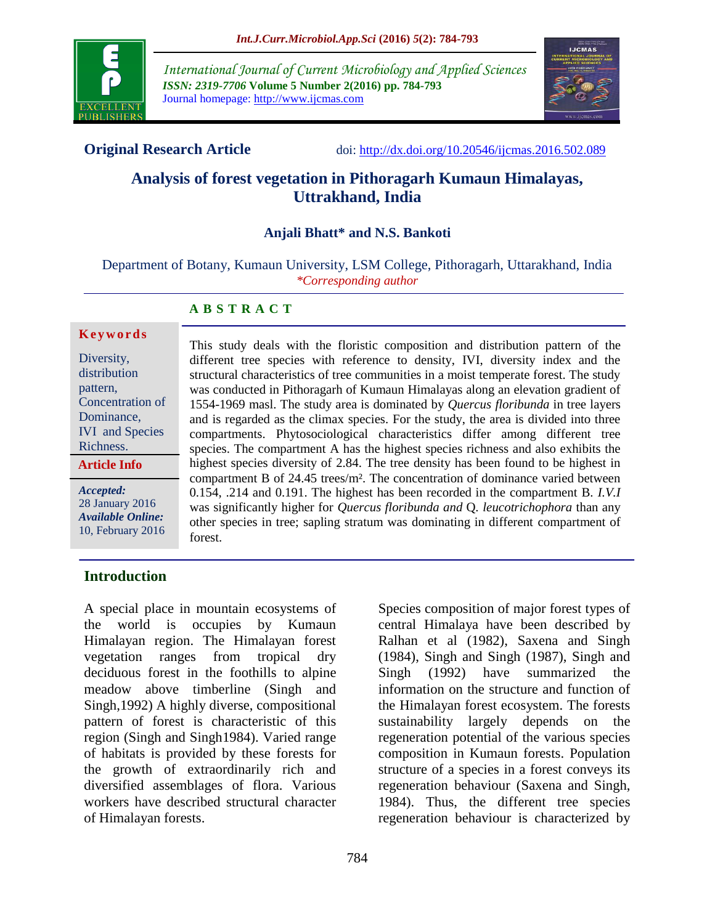

*International Journal of Current Microbiology and Applied Sciences ISSN: 2319-7706* **Volume 5 Number 2(2016) pp. 784-793** Journal homepage: http://www.ijcmas.com



**Original Research Article** doi:<http://dx.doi.org/10.20546/ijcmas.2016.502.089>

## **Analysis of forest vegetation in Pithoragarh Kumaun Himalayas, Uttrakhand, India**

## **Anjali Bhatt\* and N.S. Bankoti**

Department of Botany, Kumaun University, LSM College, Pithoragarh, Uttarakhand, India *\*Corresponding author*

## **A B S T R A C T**

#### **K e y w o r d s**

Diversity, distribution pattern, Concentration of Dominance, IVI and Species Richness. **Article Info**

*Accepted:*  28 January 2016 *Available Online:* 10, February 2016 different tree species with reference to density, IVI, diversity index and the structural characteristics of tree communities in a moist temperate forest. The study was conducted in Pithoragarh of Kumaun Himalayas along an elevation gradient of 1554-1969 masl. The study area is dominated by *Quercus floribunda* in tree layers and is regarded as the climax species. For the study, the area is divided into three compartments. Phytosociological characteristics differ among different tree species. The compartment A has the highest species richness and also exhibits the highest species diversity of 2.84. The tree density has been found to be highest in compartment B of 24.45 trees/m². The concentration of dominance varied between 0.154, .214 and 0.191. The highest has been recorded in the compartment B. *I.V.I*  was significantly higher for *Quercus floribunda and* Q*. leucotrichophora* than any other species in tree; sapling stratum was dominating in different compartment of forest.

This study deals with the floristic composition and distribution pattern of the

## **Introduction**

A special place in mountain ecosystems of the world is occupies by Kumaun Himalayan region. The Himalayan forest vegetation ranges from tropical dry deciduous forest in the foothills to alpine meadow above timberline (Singh and Singh,1992) A highly diverse, compositional pattern of forest is characteristic of this region (Singh and Singh1984). Varied range of habitats is provided by these forests for the growth of extraordinarily rich and diversified assemblages of flora. Various workers have described structural character of Himalayan forests.

Species composition of major forest types of central Himalaya have been described by Ralhan et al (1982), Saxena and Singh (1984), Singh and Singh (1987), Singh and Singh (1992) have summarized the information on the structure and function of the Himalayan forest ecosystem. The forests sustainability largely depends on the regeneration potential of the various species composition in Kumaun forests. Population structure of a species in a forest conveys its regeneration behaviour (Saxena and Singh, 1984). Thus, the different tree species regeneration behaviour is characterized by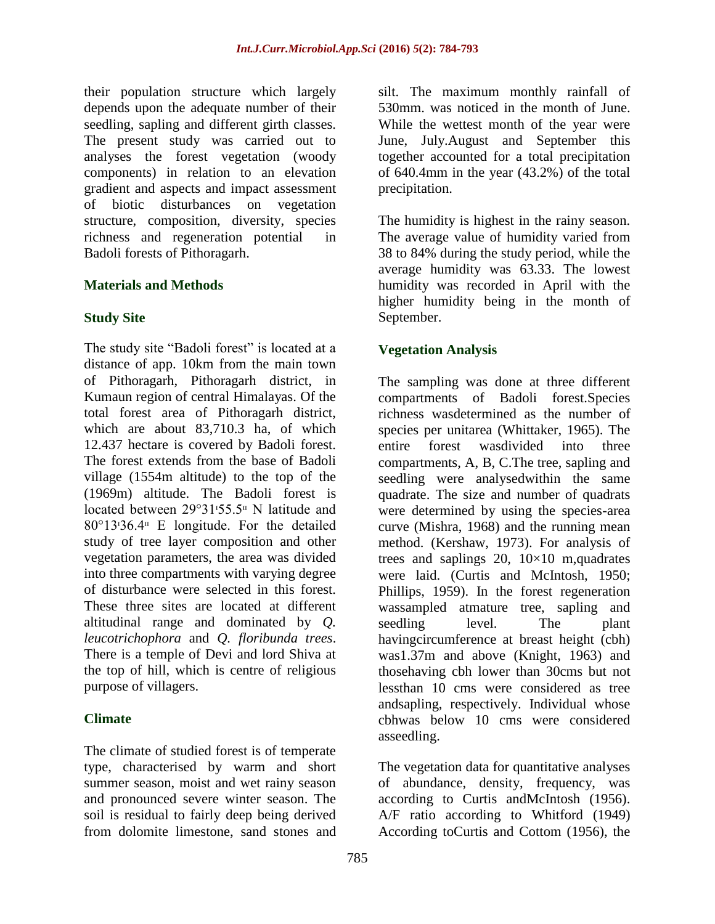their population structure which largely depends upon the adequate number of their seedling, sapling and different girth classes. The present study was carried out to analyses the forest vegetation (woody components) in relation to an elevation gradient and aspects and impact assessment of biotic disturbances on vegetation structure, composition, diversity, species richness and regeneration potential in Badoli forests of Pithoragarh.

## **Materials and Methods**

## **Study Site**

The study site "Badoli forest" is located at a distance of app. 10km from the main town of Pithoragarh, Pithoragarh district, in Kumaun region of central Himalayas. Of the total forest area of Pithoragarh district, which are about 83,710.3 ha, of which 12.437 hectare is covered by Badoli forest. The forest extends from the base of Badoli village (1554m altitude) to the top of the (1969m) altitude. The Badoli forest is located between 29°31<sup>1</sup>55.5<sup>II</sup> N latitude and  $80^{\circ}13.36.4^{\text{m}}$  E longitude. For the detailed study of tree layer composition and other vegetation parameters, the area was divided into three compartments with varying degree of disturbance were selected in this forest. These three sites are located at different altitudinal range and dominated by *Q. leucotrichophora* and *Q. floribunda trees*. There is a temple of Devi and lord Shiva at the top of hill, which is centre of religious purpose of villagers.

## **Climate**

The climate of studied forest is of temperate type, characterised by warm and short summer season, moist and wet rainy season and pronounced severe winter season. The soil is residual to fairly deep being derived from dolomite limestone, sand stones and

silt. The maximum monthly rainfall of 530mm. was noticed in the month of June. While the wettest month of the year were June, July.August and September this together accounted for a total precipitation of 640.4mm in the year (43.2%) of the total precipitation.

The humidity is highest in the rainy season. The average value of humidity varied from 38 to 84% during the study period, while the average humidity was 63.33. The lowest humidity was recorded in April with the higher humidity being in the month of September.

## **Vegetation Analysis**

The sampling was done at three different compartments of Badoli forest.Species richness wasdetermined as the number of species per unitarea (Whittaker, 1965). The entire forest wasdivided into three compartments, A, B, C.The tree, sapling and seedling were analysedwithin the same quadrate. The size and number of quadrats were determined by using the species-area curve (Mishra, 1968) and the running mean method. (Kershaw, 1973). For analysis of trees and saplings 20,  $10\times10$  m,quadrates were laid. (Curtis and McIntosh, 1950; Phillips, 1959). In the forest regeneration wassampled atmature tree, sapling and seedling level. The plant havingcircumference at breast height (cbh) was1.37m and above (Knight, 1963) and thosehaving cbh lower than 30cms but not lessthan 10 cms were considered as tree andsapling, respectively. Individual whose cbhwas below 10 cms were considered asseedling.

The vegetation data for quantitative analyses of abundance, density, frequency, was according to Curtis andMcIntosh (1956). A/F ratio according to Whitford (1949) According toCurtis and Cottom (1956), the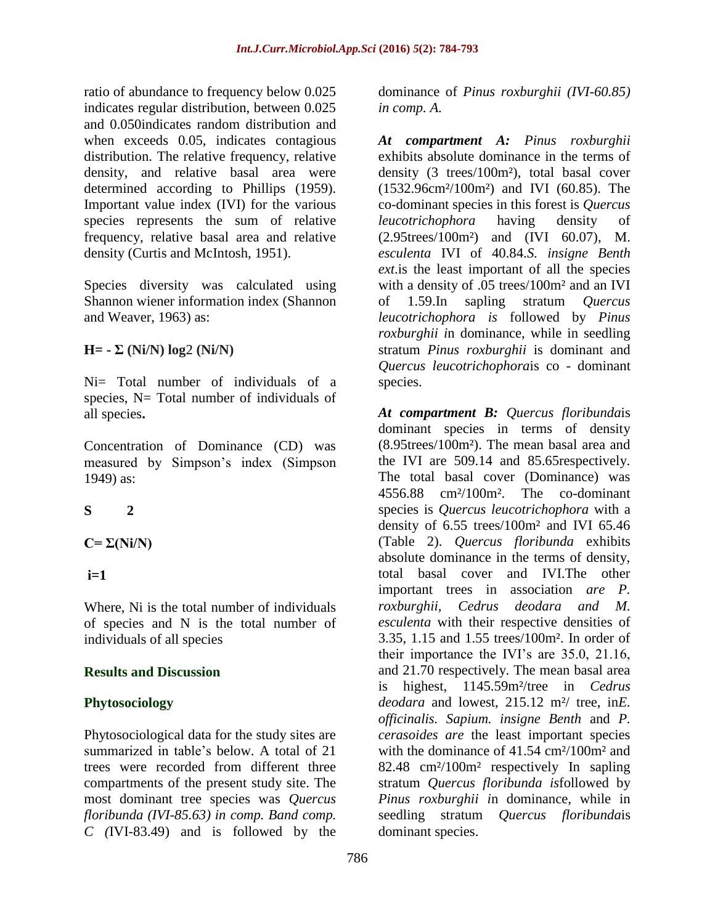ratio of abundance to frequency below 0.025 indicates regular distribution, between 0.025 and 0.050indicates random distribution and when exceeds 0.05, indicates contagious distribution. The relative frequency, relative density, and relative basal area were determined according to Phillips (1959). Important value index (IVI) for the various species represents the sum of relative frequency, relative basal area and relative density (Curtis and McIntosh, 1951).

Species diversity was calculated using Shannon wiener information index (Shannon and Weaver, 1963) as:

**H= - Σ (Ni/N) log**2 **(Ni/N)**

Ni= Total number of individuals of a species, N= Total number of individuals of all species**.**

Concentration of Dominance (CD) was measured by Simpson's index (Simpson 1949) as:

# **S 2**

 $C = \Sigma(Ni/N)$ 

**i=1** 

Where, Ni is the total number of individuals of species and N is the total number of individuals of all species

## **Results and Discussion**

# **Phytosociology**

Phytosociological data for the study sites are summarized in table's below. A total of 21 trees were recorded from different three compartments of the present study site. The most dominant tree species was *Quercus floribunda (IVI-85.63) in comp. Band comp. C (*IVI-83.49) and is followed by the

dominance of *Pinus roxburghii (IVI-60.85) in comp. A.*

*At compartment A: Pinus roxburghii* exhibits absolute dominance in the terms of density (3 trees/100m²), total basal cover (1532.96cm²/100m²) and IVI (60.85). The co-dominant species in this forest is *Quercus leucotrichophora* having density of (2.95trees/100m²) and (IVI 60.07), M. *esculenta* IVI of 40.84*.S. insigne Benth ext*.is the least important of all the species with a density of .05 trees/100m<sup>2</sup> and an IVI of 1.59.In sapling stratum *Quercus leucotrichophora is* followed by *Pinus roxburghii i*n dominance, while in seedling stratum *Pinus roxburghii* is dominant and *Quercus leucotrichophora*is co - dominant species.

*At compartment B: Quercus floribunda*is dominant species in terms of density (8.95trees/100m²). The mean basal area and the IVI are 509.14 and 85.65respectively. The total basal cover (Dominance) was 4556.88 cm²/100m². The co-dominant species is *Quercus leucotrichophora* with a density of 6.55 trees/100m² and IVI 65.46 (Table 2). *Quercus floribunda* exhibits absolute dominance in the terms of density, total basal cover and IVI.The other important trees in association *are P. roxburghii, Cedrus deodara and M. esculenta* with their respective densities of 3.35, 1.15 and 1.55 trees/100m². In order of their importance the IVI's are 35.0, 21.16, and 21.70 respectively. The mean basal area is highest, 1145.59m²/tree in *Cedrus deodara* and lowest, 215.12 m²/ tree, in*E. officinalis. Sapium. insigne Benth* and *P. cerasoides are* the least important species with the dominance of 41.54 cm<sup>2</sup>/100m<sup>2</sup> and 82.48 cm²/100m² respectively In sapling stratum *Quercus floribunda is*followed by *Pinus roxburghii i*n dominance, while in seedling stratum *Quercus floribunda*is dominant species.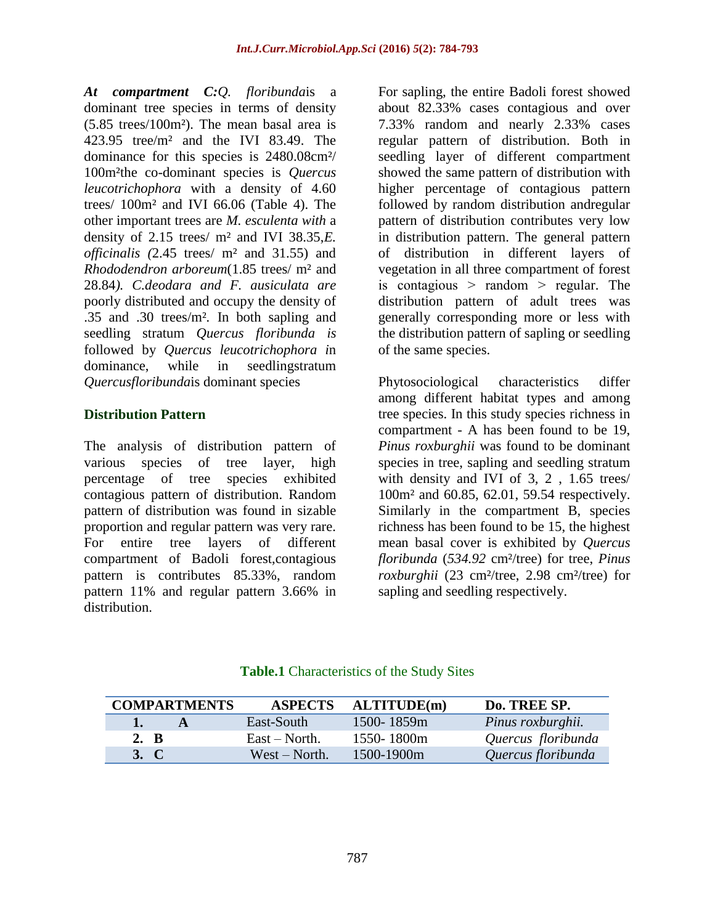*At compartment C:Q. floribunda*is a dominant tree species in terms of density (5.85 trees/100m²). The mean basal area is 423.95 tree/m² and the IVI 83.49. The dominance for this species is 2480.08cm²/ 100m²the co-dominant species is *Quercus leucotrichophora* with a density of 4.60 trees/ 100m² and IVI 66.06 (Table 4). The other important trees are *M. esculenta with* a density of 2.15 trees/ m² and IVI 38.35,*E. officinalis (*2.45 trees/ m² and 31.55) and *Rhododendron arboreum*(1.85 trees/ m² and 28.84*). C.deodara and F. ausiculata are* poorly distributed and occupy the density of .35 and .30 trees/m²*.* In both sapling and seedling stratum *Quercus floribunda is* followed by *Quercus leucotrichophora i*n dominance, while in seedlingstratum *Quercusfloribunda*is dominant species

## **Distribution Pattern**

The analysis of distribution pattern of various species of tree layer, high percentage of tree species exhibited contagious pattern of distribution. Random pattern of distribution was found in sizable proportion and regular pattern was very rare. For entire tree layers of different compartment of Badoli forest,contagious pattern is contributes 85.33%, random pattern 11% and regular pattern 3.66% in distribution.

For sapling, the entire Badoli forest showed about 82.33% cases contagious and over 7.33% random and nearly 2.33% cases regular pattern of distribution. Both in seedling layer of different compartment showed the same pattern of distribution with higher percentage of contagious pattern followed by random distribution andregular pattern of distribution contributes very low in distribution pattern. The general pattern of distribution in different layers of vegetation in all three compartment of forest is contagious  $>$  random  $>$  regular. The distribution pattern of adult trees was generally corresponding more or less with the distribution pattern of sapling or seedling of the same species.

Phytosociological characteristics differ among different habitat types and among tree species. In this study species richness in compartment - A has been found to be 19, *Pinus roxburghii* was found to be dominant species in tree, sapling and seedling stratum with density and IVI of 3, 2 , 1.65 trees/ 100m² and 60.85, 62.01, 59.54 respectively. Similarly in the compartment B, species richness has been found to be 15, the highest mean basal cover is exhibited by *Quercus floribunda* (*534.92* cm²/tree) for tree, *Pinus roxburghii* (23 cm²/tree, 2.98 cm²/tree) for sapling and seedling respectively.

| <b>COMPARTMENTS</b> | <b>ASPECTS</b>   | <b>ALTITUDE(m)</b> | Do. TREE SP.       |
|---------------------|------------------|--------------------|--------------------|
| 1.<br>A             | East-South       | 1500-1859m         | Pinus roxburghii.  |
| 2. B                | East – North.    | $1550 - 1800$ m    | Quercus floribunda |
| 3. C                | $West - North$ . | $1500 - 1900$ m    | Quercus floribunda |

## **Table.1** Characteristics of the Study Sites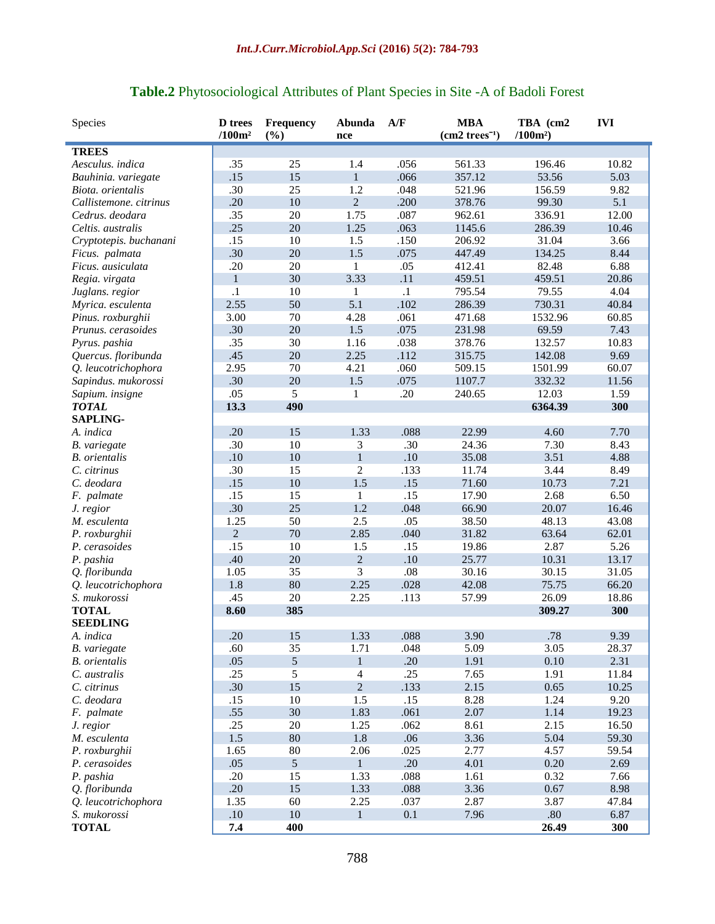| Species                | <b>D</b> trees     | <b>Frequency</b> | Abunda                  | A/F       | <b>MBA</b>      | TBA (cm2  | <b>IVI</b> |
|------------------------|--------------------|------------------|-------------------------|-----------|-----------------|-----------|------------|
|                        | /100m <sup>2</sup> | (%)              | nce                     |           | $(cm2 trees-1)$ | $/100m^2$ |            |
| <b>TREES</b>           |                    |                  |                         |           |                 |           |            |
| Aesculus. indica       | .35                | 25               | 1.4                     | .056      | 561.33          | 196.46    | 10.82      |
| Bauhinia. variegate    | .15                | 15               | $\mathbf{1}$            | .066      | 357.12          | 53.56     | 5.03       |
| Biota, orientalis      | .30                | 25               | 1.2                     | .048      | 521.96          | 156.59    | 9.82       |
| Callistemone. citrinus | .20                | 10               | $\overline{c}$          | .200      | 378.76          | 99.30     | 5.1        |
| Cedrus. deodara        | .35                | 20               | 1.75                    | .087      | 962.61          | 336.91    | 12.00      |
| Celtis. australis      | .25                | 20               | 1.25                    | .063      | 1145.6          | 286.39    | 10.46      |
| Cryptotepis. buchanani | .15                | 10               | 1.5                     | .150      | 206.92          | 31.04     | 3.66       |
| Ficus. palmata         | .30                | 20               | 1.5                     | .075      | 447.49          | 134.25    | 8.44       |
| Ficus. ausiculata      | .20                | 20               | 1                       | .05       | 412.41          | 82.48     | 6.88       |
| Regia. virgata         | $\mathbf{1}$       | 30               | 3.33                    | .11       | 459.51          | 459.51    | 20.86      |
| Juglans. regior        | $\cdot$            | 10               | 1                       | $\cdot 1$ | 795.54          | 79.55     | 4.04       |
| Myrica. esculenta      | 2.55               | 50               | 5.1                     | .102      | 286.39          | 730.31    | 40.84      |
| Pinus. roxburghii      | 3.00               | 70               | 4.28                    | .061      | 471.68          | 1532.96   | 60.85      |
| Prunus. cerasoides     | .30                | 20               | 1.5                     | .075      | 231.98          | 69.59     | 7.43       |
| Pyrus. pashia          | .35                | 30               | 1.16                    | .038      | 378.76          | 132.57    | 10.83      |
| Quercus. floribunda    | .45                | 20               | 2.25                    | .112      | 315.75          | 142.08    | 9.69       |
| Q. leucotrichophora    | 2.95               | 70               | 4.21                    | .060      | 509.15          | 1501.99   | 60.07      |
| Sapindus. mukorossi    | .30                | 20               | 1.5                     | .075      | 1107.7          | 332.32    | 11.56      |
| Sapium. insigne        | .05                | 5                | $\mathbf{1}$            | .20       | 240.65          | 12.03     | 1.59       |
| <b>TOTAL</b>           | 13.3               | 490              |                         |           |                 | 6364.39   | 300        |
| <b>SAPLING-</b>        |                    |                  |                         |           |                 |           |            |
| A. indica              | .20                | 15               | 1.33                    | .088      | 22.99           | 4.60      | 7.70       |
| B. variegate           | .30                | 10               | 3                       | .30       | 24.36           | 7.30      | 8.43       |
| <b>B.</b> orientalis   | .10                | 10               | $\mathbf{1}$            | .10       | 35.08           | 3.51      | 4.88       |
| C. citrinus            | .30                | 15               | $\overline{2}$          | .133      | 11.74           | 3.44      | 8.49       |
| C. deodara             | .15                | 10               | 1.5                     | .15       | 71.60           | 10.73     | 7.21       |
| F. palmate             | .15                | 15               | $\mathbf{1}$            | .15       | 17.90           | 2.68      | 6.50       |
| J. regior              | .30                | 25               | 1.2                     | .048      | 66.90           | 20.07     | 16.46      |
| M. esculenta           | 1.25               | 50               | 2.5                     | .05       | 38.50           | 48.13     | 43.08      |
| P. roxburghii          | $\overline{2}$     | 70               | 2.85                    | .040      | 31.82           | 63.64     | 62.01      |
| P. cerasoides          | .15                | 10               | 1.5                     | .15       | 19.86           | 2.87      | 5.26       |
| P. pashia              | .40                | 20               | $\sqrt{2}$              | $.10\,$   | 25.77           | 10.31     | 13.17      |
| Q. floribunda          | 1.05               | 35               | $\overline{\mathbf{3}}$ | .08       | 30.16           | 30.15     | 31.05      |
| Q. leucotrichophora    | 1.8                | 80               | 2.25                    | .028      | 42.08           | 75.75     | 66.20      |
| S. mukorossi           | .45                | 20               | 2.25                    | .113      | 57.99           | 26.09     | 18.86      |
| <b>TOTAL</b>           | 8.60               | 385              |                         |           |                 | 309.27    | 300        |
| <b>SEEDLING</b>        |                    |                  |                         |           |                 |           |            |
| A. indica              | .20                | 15               | 1.33                    | .088      | 3.90            | .78       | 9.39       |
| B. variegate           | .60                | 35               | 1.71                    | .048      | 5.09            | 3.05      | 28.37      |
| <b>B.</b> orientalis   | .05                | 5                | $\,1$                   | .20       | 1.91            | 0.10      | 2.31       |
| C. australis           | .25                | 5                | 4                       | .25       | 7.65            | 1.91      | 11.84      |
| C. citrinus            | .30                | 15               | $\overline{2}$          | .133      | 2.15            | 0.65      | 10.25      |
| C. deodara             | .15                | 10               | 1.5                     | .15       | 8.28            | 1.24      | 9.20       |
| F. palmate             | .55                | 30               | 1.83                    | .061      | 2.07            | 1.14      | 19.23      |
| J. regior              | .25                | 20               | 1.25                    | .062      | 8.61            | 2.15      | 16.50      |
| M. esculenta           | 1.5                | 80               | 1.8                     | .06       | 3.36            | 5.04      | 59.30      |
| P. roxburghii          | 1.65               | $80\,$           | 2.06                    | .025      | 2.77            | 4.57      | 59.54      |
| P. cerasoides          | .05                | $\mathfrak{S}$   | $\mathbf{1}$            | .20       | 4.01            | 0.20      | 2.69       |
| P. pashia              | .20                | 15               | 1.33                    | .088      | 1.61            | 0.32      | 7.66       |
| Q. floribunda          | .20                | 15               | 1.33                    | .088      | 3.36            | 0.67      | 8.98       |
| Q. leucotrichophora    | 1.35               | 60               | 2.25                    | .037      | 2.87            | 3.87      | 47.84      |
| S. mukorossi           | $.10$              | $10\,$           | $\mathbf{1}$            | 0.1       | 7.96            | $.80\,$   | 6.87       |
| <b>TOTAL</b>           | 7.4                | 400              |                         |           |                 | 26.49     | 300        |

## **Table.2** Phytosociological Attributes of Plant Species in Site -A of Badoli Forest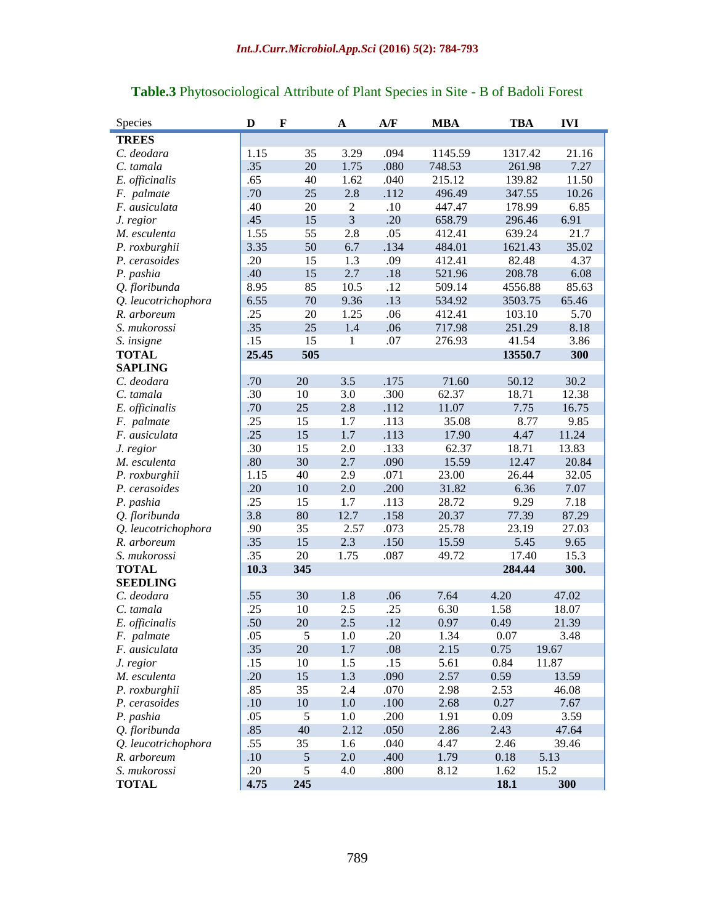| Species             | D     | $\mathbf F$    | $\mathbf A$      | A/F     | <b>MBA</b> | <b>TBA</b> | <b>IVI</b> |
|---------------------|-------|----------------|------------------|---------|------------|------------|------------|
| <b>TREES</b>        |       |                |                  |         |            |            |            |
| C. deodara          | 1.15  | 35             | 3.29             | .094    | 1145.59    | 1317.42    | 21.16      |
| C. tamala           | .35   | 20             | 1.75             | .080    | 748.53     | 261.98     | 7.27       |
| E. officinalis      | .65   | 40             | 1.62             | .040    | 215.12     | 139.82     | 11.50      |
| F. palmate          | .70   | 25             | 2.8              | .112    | 496.49     | 347.55     | 10.26      |
| F. ausiculata       | .40   | 20             | $\boldsymbol{2}$ | $.10\,$ | 447.47     | 178.99     | 6.85       |
| J. regior           | .45   | 15             | $\overline{3}$   | .20     | 658.79     | 296.46     | 6.91       |
| M. esculenta        | 1.55  | 55             | 2.8              | .05     | 412.41     | 639.24     | 21.7       |
| P. roxburghii       | 3.35  | 50             | 6.7              | .134    | 484.01     | 1621.43    | 35.02      |
| P. cerasoides       | .20   | 15             | 1.3              | .09     | 412.41     | 82.48      | 4.37       |
| P. pashia           | .40   | 15             | 2.7              | .18     | 521.96     | 208.78     | 6.08       |
| Q. floribunda       | 8.95  | 85             | 10.5             | .12     | 509.14     | 4556.88    | 85.63      |
| Q. leucotrichophora | 6.55  | 70             | 9.36             | .13     | 534.92     | 3503.75    | 65.46      |
| R. arboreum         | .25   | 20             | 1.25             | .06     | 412.41     | 103.10     | 5.70       |
| S. mukorossi        | .35   | 25             | 1.4              | .06     | 717.98     | 251.29     | 8.18       |
| S. insigne          | .15   | 15             | 1                | .07     | 276.93     | 41.54      | 3.86       |
| <b>TOTAL</b>        | 25.45 | 505            |                  |         |            | 13550.7    | 300        |
| <b>SAPLING</b>      |       |                |                  |         |            |            |            |
| C. deodara          | .70   | 20             | 3.5              | .175    | 71.60      | 50.12      | 30.2       |
| C. tamala           | .30   | 10             | 3.0              | .300    | 62.37      | 18.71      | 12.38      |
| E. officinalis      | .70   | 25             | 2.8              | .112    | 11.07      | 7.75       | 16.75      |
| F. palmate          | .25   | 15             | 1.7              | .113    | 35.08      | 8.77       | 9.85       |
| F. ausiculata       | .25   | 15             | 1.7              | .113    | 17.90      | 4.47       | 11.24      |
| J. regior           | .30   | 15             | 2.0              | .133    | 62.37      | 18.71      | 13.83      |
| M. esculenta        | .80   | 30             | 2.7              | .090    | 15.59      | 12.47      | 20.84      |
| P. roxburghii       | 1.15  | 40             | 2.9              | .071    | 23.00      | 26.44      | 32.05      |
| P. cerasoides       | .20   | 10             | 2.0              | .200    | 31.82      | 6.36       | 7.07       |
| P. pashia           | .25   | 15             | 1.7              | .113    | 28.72      | 9.29       | 7.18       |
| Q. floribunda       | 3.8   | 80             | 12.7             | .158    | 20.37      | 77.39      | 87.29      |
| Q. leucotrichophora | .90   | 35             | 2.57             | .073    | 25.78      | 23.19      | 27.03      |
| R. arboreum         | .35   | 15             | 2.3              | .150    | 15.59      | 5.45       | 9.65       |
| S. mukorossi        | .35   | 20             | 1.75             | .087    | 49.72      | 17.40      | 15.3       |
| <b>TOTAL</b>        | 10.3  | 345            |                  |         |            | 284.44     | 300.       |
| <b>SEEDLING</b>     |       |                |                  |         |            |            |            |
| C. deodara          | .55   | 30             | 1.8              | .06     | 7.64       | 4.20       | 47.02      |
| C. tamala           | .25   | 10             | 2.5              | .25     | 6.30       | 1.58       | 18.07      |
| E. officinalis      | .50   | 20             | 2.5              | .12     | 0.97       | 0.49       | 21.39      |
| F. palmate          | .05   | 5              | 1.0              | .20     | 1.34       | 0.07       | 3.48       |
| F. ausiculata       | .35   | 20             | 1.7              | .08     | 2.15       | 0.75       | 19.67      |
| J. regior           | .15   | 10             | 1.5              | .15     | 5.61       | 0.84       | 11.87      |
| M. esculenta        | .20   | 15             | 1.3              | .090    | 2.57       | 0.59       | 13.59      |
| P. roxburghii       | .85   | 35             | 2.4              | .070    | 2.98       | 2.53       | 46.08      |
| P. cerasoides       | .10   | $10\,$         | $1.0\,$          | .100    | 2.68       | 0.27       | 7.67       |
| P. pashia           | .05   | 5              | 1.0              | .200    | 1.91       | 0.09       | 3.59       |
| Q. floribunda       | .85   | 40             | 2.12             | .050    | 2.86       | 2.43       | 47.64      |
| Q. leucotrichophora | .55   | 35             | 1.6              | .040    | 4.47       | 2.46       | 39.46      |
| R. arboreum         | .10   | $\mathfrak{S}$ | 2.0              | .400    | 1.79       | 0.18       | 5.13       |
| S. mukorossi        | .20   | 5              | 4.0              | .800    | 8.12       | 1.62       | 15.2       |
| <b>TOTAL</b>        | 4.75  | 245            |                  |         |            | 18.1       | 300        |

## **Table.3** Phytosociological Attribute of Plant Species in Site - B of Badoli Forest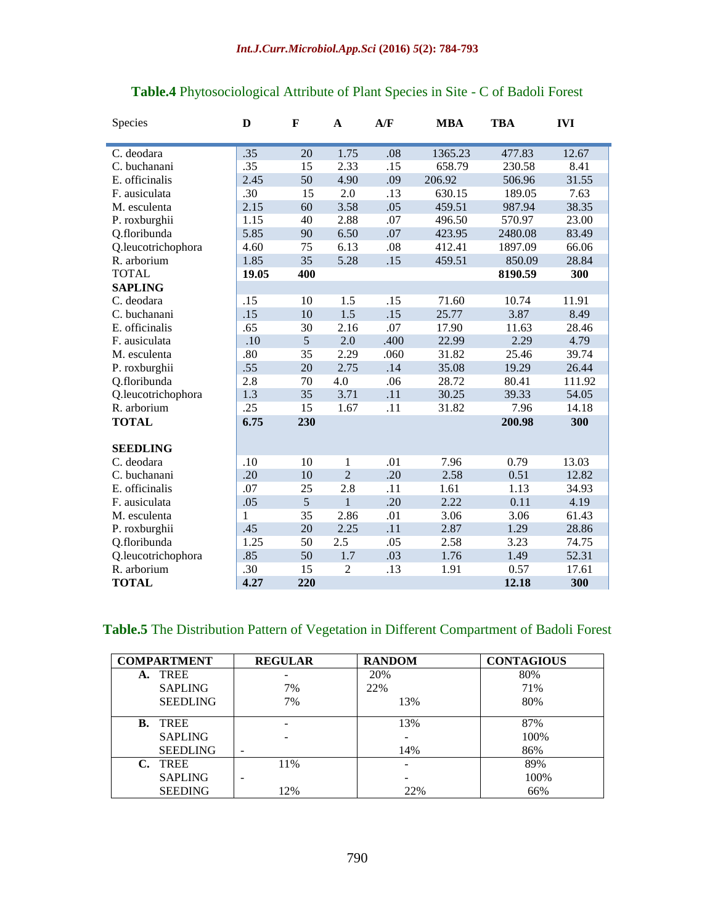| Species            | D     | F   | $\mathbf A$    | A/F  | <b>MBA</b> | <b>TBA</b> | <b>IVI</b> |
|--------------------|-------|-----|----------------|------|------------|------------|------------|
| C. deodara         | .35   | 20  | 1.75           | .08  | 1365.23    | 477.83     | 12.67      |
| C. buchanani       | .35   | 15  | 2.33           | .15  | 658.79     | 230.58     | 8.41       |
| E. officinalis     | 2.45  | 50  | 4.90           |      | 206.92     | 506.96     | 31.55      |
|                    |       |     |                | .09  |            |            |            |
| F. ausiculata      | .30   | 15  | $2.0\,$        | .13  | 630.15     | 189.05     | 7.63       |
| M. esculenta       | 2.15  | 60  | 3.58           | .05  | 459.51     | 987.94     | 38.35      |
| P. roxburghii      | 1.15  | 40  | 2.88           | .07  | 496.50     | 570.97     | 23.00      |
| Q.floribunda       | 5.85  | 90  | 6.50           | .07  | 423.95     | 2480.08    | 83.49      |
| Q.leucotrichophora | 4.60  | 75  | 6.13           | .08  | 412.41     | 1897.09    | 66.06      |
| R. arborium        | 1.85  | 35  | 5.28           | .15  | 459.51     | 850.09     | 28.84      |
| <b>TOTAL</b>       | 19.05 | 400 |                |      |            | 8190.59    | 300        |
| <b>SAPLING</b>     |       |     |                |      |            |            |            |
| C. deodara         | .15   | 10  | 1.5            | .15  | 71.60      | 10.74      | 11.91      |
| C. buchanani       | .15   | 10  | 1.5            | .15  | 25.77      | 3.87       | 8.49       |
| E. officinalis     | .65   | 30  | 2.16           | .07  | 17.90      | 11.63      | 28.46      |
| F. ausiculata      | .10   | 5   | 2.0            | .400 | 22.99      | 2.29       | 4.79       |
| M. esculenta       | .80   | 35  | 2.29           | .060 | 31.82      | 25.46      | 39.74      |
| P. roxburghii      | .55   | 20  | 2.75           | .14  | 35.08      | 19.29      | 26.44      |
| Q.floribunda       | 2.8   | 70  | 4.0            | .06  | 28.72      | 80.41      | 111.92     |
| Q.leucotrichophora | 1.3   | 35  | 3.71           | .11  | 30.25      | 39.33      | 54.05      |
| R. arborium        | .25   | 15  | 1.67           | .11  | 31.82      | 7.96       | 14.18      |
| <b>TOTAL</b>       | 6.75  | 230 |                |      |            | 200.98     | 300        |
|                    |       |     |                |      |            |            |            |
| <b>SEEDLING</b>    |       |     |                |      |            |            |            |
| C. deodara         | .10   | 10  | $\mathbf{1}$   | .01  | 7.96       | 0.79       | 13.03      |
| C. buchanani       | .20   | 10  | $\overline{2}$ | .20  | 2.58       | 0.51       | 12.82      |
| E. officinalis     | .07   | 25  | 2.8            | .11  | 1.61       | 1.13       | 34.93      |
| F. ausiculata      | .05   | 5   | $\mathbf{1}$   | .20  | 2.22       | 0.11       | 4.19       |
| M. esculenta       | 1     | 35  | 2.86           | .01  | 3.06       | 3.06       | 61.43      |
| P. roxburghii      | .45   | 20  | 2.25           | .11  | 2.87       | 1.29       | 28.86      |
| Q.floribunda       | 1.25  | 50  | 2.5            | .05  | 2.58       | 3.23       | 74.75      |
| Q.leucotrichophora | .85   | 50  | 1.7            | .03  | 1.76       | 1.49       | 52.31      |
| R. arborium        | .30   | 15  | $\overline{2}$ | .13  | 1.91       | 0.57       | 17.61      |
| <b>TOTAL</b>       | 4.27  | 220 |                |      |            | 12.18      | 300        |

## **Table.4** Phytosociological Attribute of Plant Species in Site - C of Badoli Forest

## **Table.5** The Distribution Pattern of Vegetation in Different Compartment of Badoli Forest

|                | <b>COMPARTMENT</b> | <b>REGULAR</b> | <b>RANDOM</b> | <b>CONTAGIOUS</b> |
|----------------|--------------------|----------------|---------------|-------------------|
| А.             | <b>TREE</b>        |                | 20%           | 80%               |
|                | <b>SAPLING</b>     | 7%             | 22%           | 71%               |
|                | <b>SEEDLING</b>    | 7%             | 13%           | 80%               |
|                | <b>B.</b> TREE     |                | 13%           | 87%               |
|                | <b>SAPLING</b>     |                |               | 100%              |
|                | <b>SEEDLING</b>    | -              | 14%           | 86%               |
| $\mathbf{C}$ . | <b>TREE</b>        | 11%            |               | 89%               |
|                | <b>SAPLING</b>     |                |               | 100%              |
|                | <b>SEEDING</b>     | 12%            | 22%           | 66%               |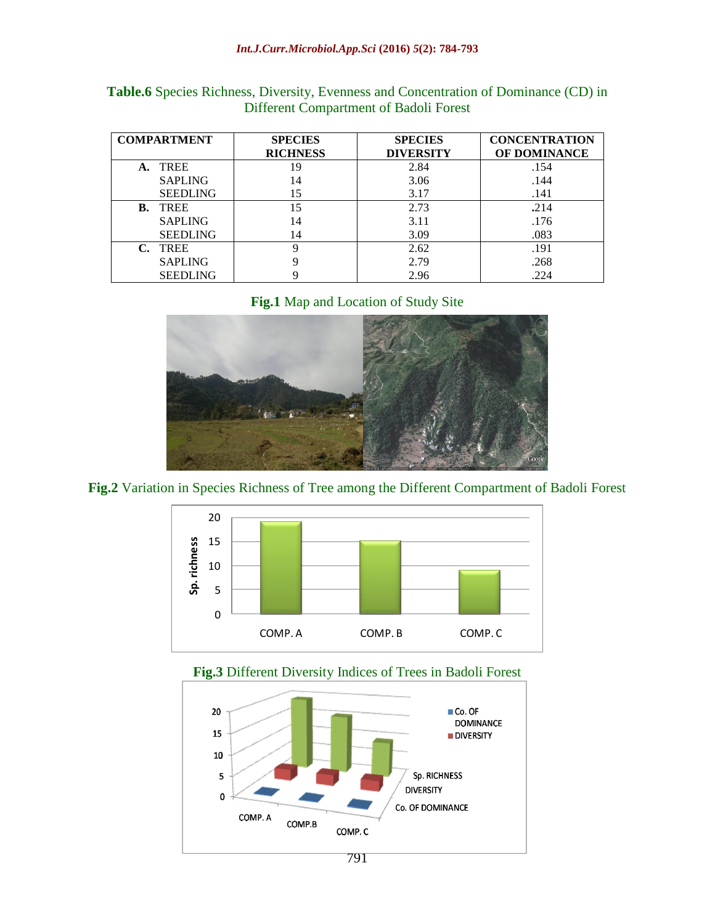#### *Int.J.Curr.Microbiol.App.Sci* **(2016)** *5***(2): 784-793**

| <b>COMPARTMENT</b> | <b>SPECIES</b>  | <b>SPECIES</b>   | <b>CONCENTRATION</b> |  |
|--------------------|-----------------|------------------|----------------------|--|
|                    | <b>RICHNESS</b> | <b>DIVERSITY</b> | OF DOMINANCE         |  |
| A. TREE            | 19              | 2.84             | .154                 |  |
| <b>SAPLING</b>     | 14              | 3.06             | .144                 |  |
| <b>SEEDLING</b>    | 15              | 3.17             | .141                 |  |
| <b>B.</b> TREE     | 15              | 2.73             | .214                 |  |
| <b>SAPLING</b>     | 14              | 3.11             | .176                 |  |
| <b>SEEDLING</b>    | 14              | 3.09             | .083                 |  |
| C. TREE            | Q               | 2.62             | .191                 |  |
| <b>SAPLING</b>     | Q               | 2.79             | .268                 |  |
| <b>SEEDLING</b>    |                 | 2.96             | .224                 |  |

**Table.6** Species Richness, Diversity, Evenness and Concentration of Dominance (CD) in Different Compartment of Badoli Forest

**Fig.1** Map and Location of Study Site



**Fig.2** Variation in Species Richness of Tree among the Different Compartment of Badoli Forest



#### **Fig.3** Different Diversity Indices of Trees in Badoli Forest

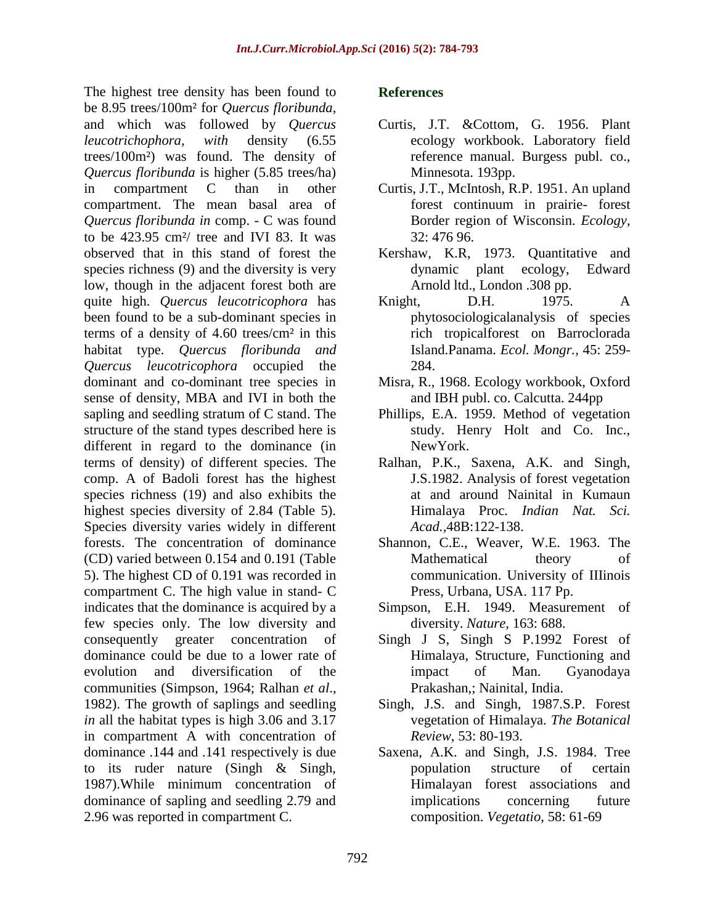The highest tree density has been found to be 8.95 trees/100m² for *Quercus floribunda*, and which was followed by *Quercus leucotrichophora, with* density (6.55 trees/100m²) was found. The density of *Quercus floribunda* is higher (5.85 trees/ha) in compartment C than in other compartment. The mean basal area of *Quercus floribunda in* comp. - C was found to be 423.95 cm²/ tree and IVI 83. It was observed that in this stand of forest the species richness (9) and the diversity is very low, though in the adjacent forest both are quite high. *Quercus leucotricophora* has been found to be a sub-dominant species in terms of a density of 4.60 trees/cm² in this habitat type. *Quercus floribunda and Quercus leucotricophora* occupied the dominant and co-dominant tree species in sense of density, MBA and IVI in both the sapling and seedling stratum of C stand. The structure of the stand types described here is different in regard to the dominance (in terms of density) of different species. The comp. A of Badoli forest has the highest species richness (19) and also exhibits the highest species diversity of 2.84 (Table 5). Species diversity varies widely in different forests. The concentration of dominance (CD) varied between 0.154 and 0.191 (Table 5). The highest CD of 0.191 was recorded in compartment C. The high value in stand- C indicates that the dominance is acquired by a few species only. The low diversity and consequently greater concentration of dominance could be due to a lower rate of evolution and diversification of the communities (Simpson, 1964; Ralhan *et al*., 1982). The growth of saplings and seedling *in* all the habitat types is high 3.06 and 3.17 in compartment A with concentration of dominance .144 and .141 respectively is due to its ruder nature (Singh & Singh, 1987).While minimum concentration of dominance of sapling and seedling 2.79 and 2.96 was reported in compartment C.

## **References**

- Curtis, J.T. &Cottom, G. 1956. Plant ecology workbook. Laboratory field reference manual. Burgess publ. co., Minnesota. 193pp.
- Curtis, J.T., McIntosh, R.P. 1951. An upland forest continuum in prairie- forest Border region of Wisconsin. *Ecology,* 32: 476 96.
- Kershaw, K.R, 1973. Quantitative and dynamic plant ecology, Edward Arnold ltd., London .308 pp.
- Knight, D.H. 1975. A phytosociologicalanalysis of species rich tropicalforest on Barroclorada Island.Panama. *Ecol. Mongr.,* 45: 259- 284.
- Misra, R., 1968. Ecology workbook, Oxford and IBH publ. co. Calcutta. 244pp
- Phillips, E.A. 1959. Method of vegetation study. Henry Holt and Co. Inc., NewYork.
- Ralhan, P.K., Saxena, A.K. and Singh, J.S.1982. Analysis of forest vegetation at and around Nainital in Kumaun Himalaya Proc. *Indian Nat. Sci. Acad.,*48B:122-138.
- Shannon, C.E., Weaver, W.E. 1963. The Mathematical theory of communication. University of IIIinois Press, Urbana, USA. 117 Pp.
- Simpson, E.H. 1949. Measurement of diversity. *Nature,* 163: 688.
- Singh J S, Singh S P.1992 Forest of Himalaya, Structure, Functioning and impact of Man. Gyanodaya Prakashan,; Nainital, India.
- Singh, J.S. and Singh, 1987.S.P. Forest vegetation of Himalaya. *The Botanical Review*, 53: 80-193.
- Saxena, A.K. and Singh, J.S. 1984. Tree population structure of certain Himalayan forest associations and implications concerning future composition. *Vegetatio*, 58: 61-69